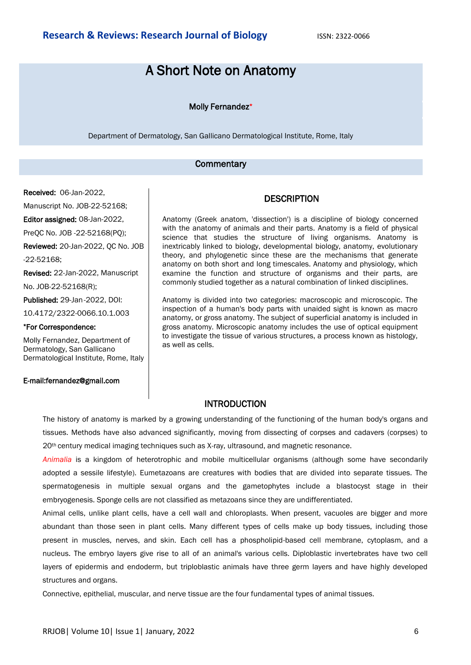# A Short Note on Anatomy

#### Molly Fernandez\*

Department of Dermatology, San Gallicano Dermatological Institute, Rome, Italy

#### **Commentary**

Received: 06-Jan-2022,

Manuscript No. JOB-22-52168;

Editor assigned: 08-Jan-2022,

PreQC No. JOB -22-52168(PQ);

Reviewed: 20-Jan-2022, QC No. JOB

-22-52168;

Revised: 22-Jan-2022, Manuscript No. JOB-22-52168(R);

Published: 29-Jan-2022, DOI:

10.4172/2322-0066.10.1.003

#### \*For Correspondence:

Molly Fernandez, Department of Dermatology, San Gallicano Dermatological Institute, Rome, Italy

#### E-mail:fernandez@gmail.com

Anatomy (Greek anatom, 'dissection') is a discipline of biology concerned with the anatomy of animals and their parts. Anatomy is a field of physical science that studies the structure of living organisms. Anatomy is inextricably linked to biology, developmental biology, anatomy, evolutionary theory, and phylogenetic since these are the mechanisms that generate anatomy on both short and long timescales. Anatomy and physiology, which examine the function and structure of organisms and their parts, are commonly studied together as a natural combination of linked disciplines.

Anatomy is divided into two categories: macroscopic and microscopic. The inspection of a human's body parts with unaided sight is known as macro anatomy, or gross anatomy. The subject of superficial anatomy is included in gross anatomy. Microscopic anatomy includes the use of optical equipment to investigate the tissue of various structures, a process known as histology, as well as cells.

## INTRODUCTION

The history of anatomy is marked by a growing understanding of the functioning of the human body's organs and tissues. Methods have also advanced significantly, moving from dissecting of corpses and cadavers (corpses) to 20<sup>th</sup> century medical imaging techniques such as X-ray, ultrasound, and magnetic resonance.

*Animalia* is a kingdom of heterotrophic and mobile multicellular organisms (although some have secondarily adopted a sessile lifestyle). Eumetazoans are creatures with bodies that are divided into separate tissues. The spermatogenesis in multiple sexual organs and the gametophytes include a blastocyst stage in their embryogenesis. Sponge cells are not classified as metazoans since they are undifferentiated.

Animal cells, unlike plant cells, have a cell wall and chloroplasts. When present, vacuoles are bigger and more abundant than those seen in plant cells. Many different types of cells make up body tissues, including those present in muscles, nerves, and skin. Each cell has a phospholipid-based cell membrane, cytoplasm, and a nucleus. The embryo layers give rise to all of an animal's various cells. Diploblastic invertebrates have two cell layers of epidermis and endoderm, but triploblastic animals have three germ layers and have highly developed structures and organs.

Connective, epithelial, muscular, and nerve tissue are the four fundamental types of animal tissues.

## **DESCRIPTION**